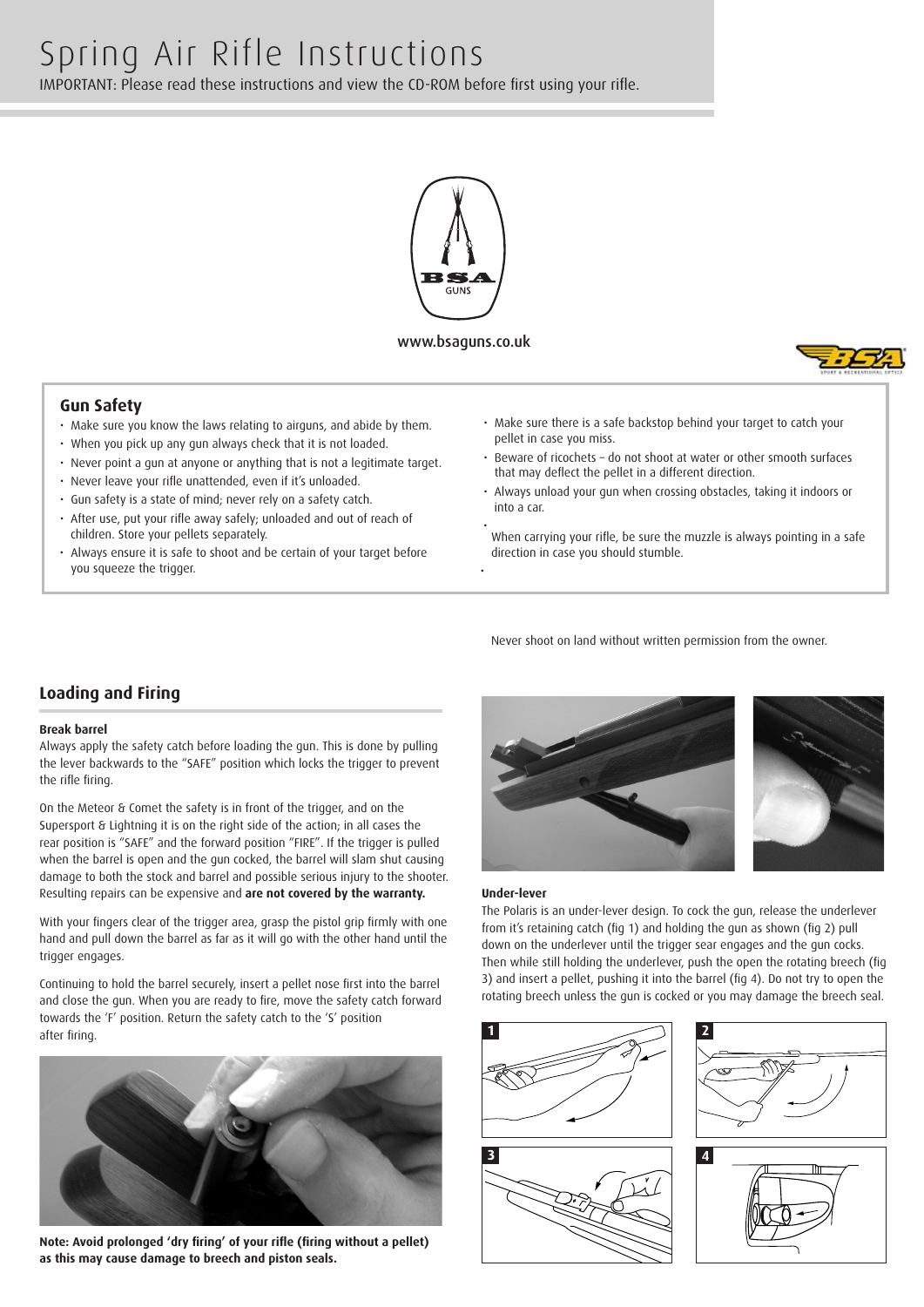

www.bsaguns.co.uk

•



#### **Gun Safety**

- Make sure you know the laws relating to airguns, and abide by them.
- When you pick up any gun always check that it is not loaded.
- Never point a gun at anyone or anything that is not a legitimate target.
- Never leave your rifle unattended, even if it's unloaded.
- Gun safety is a state of mind; never rely on a safety catch.
- After use, put your rifle away safely; unloaded and out of reach of children. Store your pellets separately.
- Always ensure it is safe to shoot and be certain of your target before you squeeze the trigger.
- Make sure there is a safe backstop behind your target to catch your pellet in case you miss.
- Beware of ricochets do not shoot at water or other smooth surfaces that may deflect the pellet in a different direction.
- Always unload your gun when crossing obstacles, taking it indoors or into a car.
- When carrying your rifle, be sure the muzzle is always pointing in a safe direction in case you should stumble.

Never shoot on land without written permission from the owner.

### **Loading and Firing**

#### **Break barrel**

Always apply the safety catch before loading the gun. This is done by pulling the lever backwards to the "SAFE" position which locks the trigger to prevent the rifle firing.

On the Meteor & Comet the safety is in front of the trigger, and on the Supersport & Lightning it is on the right side of the action; in all cases the rear position is "SAFE" and the forward position "FIRE". If the trigger is pulled when the barrel is open and the gun cocked, the barrel will slam shut causing damage to both the stock and barrel and possible serious injury to the shooter. Resulting repairs can be expensive and **are not covered by the warranty.**

With your fingers clear of the trigger area, grasp the pistol grip firmly with one hand and pull down the barrel as far as it will go with the other hand until the trigger engages.

Continuing to hold the barrel securely, insert a pellet nose first into the barrel and close the gun. When you are ready to fire, move the safety catch forward towards the 'F' position. Return the safety catch to the 'S' position after firing.



**Note: Avoid prolonged 'dry firing' of your rifle (firing without a pellet) as this may cause damage to breech and piston seals.**



#### **Under-lever**

The Polaris is an under-lever design. To cock the gun, release the underlever from it's retaining catch (fig 1) and holding the gun as shown (fig 2) pull down on the underlever until the trigger sear engages and the gun cocks. Then while still holding the underlever, push the open the rotating breech (fig 3) and insert a pellet, pushing it into the barrel (fig 4). Do not try to open the rotating breech unless the gun is cocked or you may damage the breech seal.